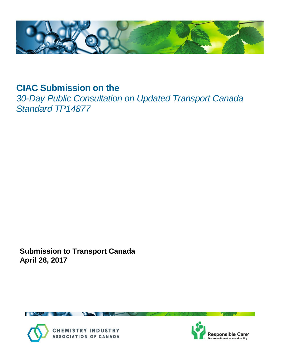

# **CIAC Submission on the**

*30-Day Public Consultation on Updated Transport Canada Standard TP14877* 

**Submission to Transport Canada April 28, 2017**





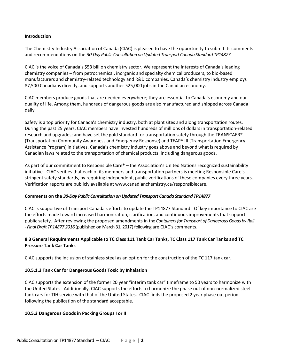### **Introduction**

The Chemistry Industry Association of Canada (CIAC) is pleased to have the opportunity to submit its comments and recommendations on the *30-Day Public Consultation on Updated Transport Canada Standard TP14877.*

CIAC is the voice of Canada's \$53 billion chemistry sector. We represent the interests of Canada's leading chemistry companies – from petrochemical, inorganic and specialty chemical producers, to bio-based manufacturers and chemistry-related technology and R&D companies. Canada's chemistry industry employs 87,500 Canadians directly, and supports another 525,000 jobs in the Canadian economy.

CIAC members produce goods that are needed everywhere; they are essential to Canada's economy and our quality of life. Among them, hundreds of dangerous goods are also manufactured and shipped across Canada daily.

Safety is a top priority for Canada's chemistry industry, both at plant sites and along transportation routes. During the past 25 years, CIAC members have invested hundreds of millions of dollars in transportation-related research and upgrades; and have set the gold standard for transportation safety through the TRANSCAER® (Transportation Community Awareness and Emergency Response) and TEAP® III (Transportation Emergency Assistance Program) initiatives. Canada's chemistry industry goes above and beyond what is required by Canadian laws related to the transportation of chemical products, including dangerous goods.

As part of our commitment to Responsible Care® – the Association's United Nations recognized sustainability initiative - CIAC verifies that each of its members and transportation partners is meeting Responsible Care's stringent safety standards, by requiring independent, public verifications of these companies every three years. Verification reports are publicly available at www.canadianchemistry.ca/responsiblecare.

## **Comments on the** *30-Day Public Consultation on Updated Transport Canada Standard TP14877*

CIAC is supportive of Transport Canada's efforts to update the TP14877 Standard. Of key importance to CIAC are the efforts made toward increased harmonization, clarification, and continuous improvements that support public safety. After reviewing the proposed amendments in the *Containers for Transport of Dangerous Goods by Rail - Final Draft TP14877 2016* (published on March 31, 2017) following are CIAC's comments.

## **8.3 General Requirements Applicable to TC Class 111 Tank Car Tanks, TC Class 117 Tank Car Tanks and TC Pressure Tank Car Tanks**

CIAC supports the inclusion of stainless steel as an option for the construction of the TC 117 tank car.

## **10.5.1.3 Tank Car for Dangerous Goods Toxic by Inhalation**

CIAC supports the extension of the former 20 year "interim tank car" timeframe to 50 years to harmonize with the United States. Additionally, CIAC supports the efforts to harmonize the phase out of non-normalized steel tank cars for TIH service with that of the United States. CIAC finds the proposed 2 year phase out period following the publication of the standard acceptable.

#### **10.5.3 Dangerous Goods in Packing Groups I or II**